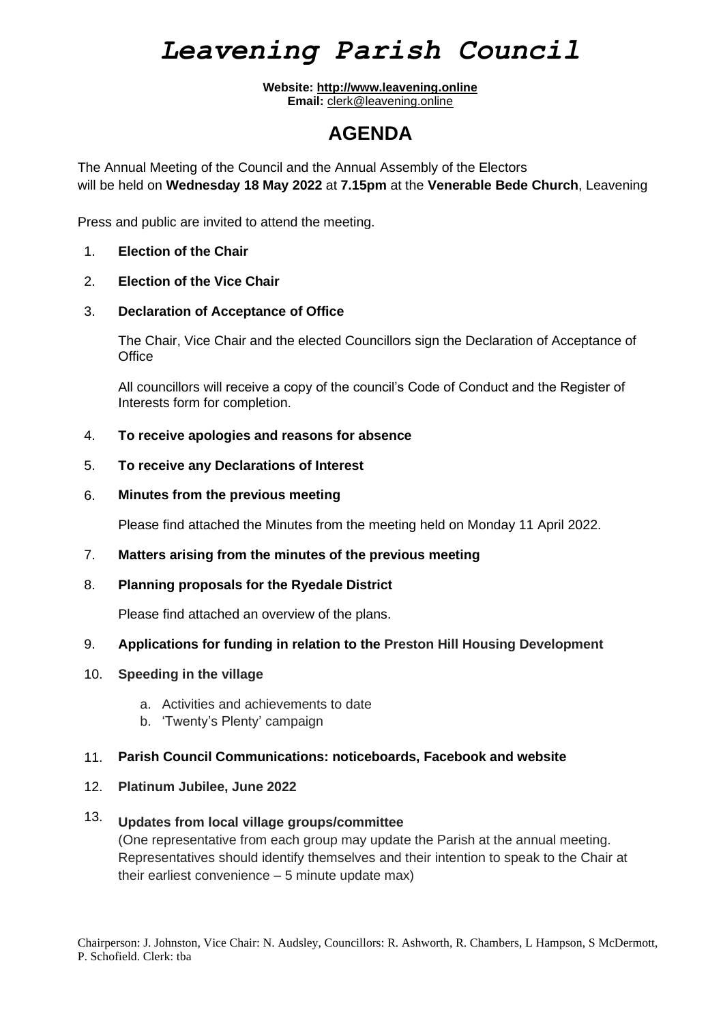## *Leavening Parish Council*

**Website: [http://www.leavening.online](http://www.leavening.online/) Email:** [clerk@leavening.online](mailto:clerk@leavening.online)

### **AGENDA**

The Annual Meeting of the Council and the Annual Assembly of the Electors will be held on **Wednesday 18 May 2022** at **7.15pm** at the **Venerable Bede Church**, Leavening

Press and public are invited to attend the meeting.

- 1. **Election of the Chair**
- 2. **Election of the Vice Chair**
- 3. **Declaration of Acceptance of Office**

The Chair, Vice Chair and the elected Councillors sign the Declaration of Acceptance of **Office** 

All councillors will receive a copy of the council's Code of Conduct and the Register of Interests form for completion.

- 4. **To receive apologies and reasons for absence**
- 5. **To receive any Declarations of Interest**
- 6. **Minutes from the previous meeting**

Please find attached the Minutes from the meeting held on Monday 11 April 2022.

- 7. **Matters arising from the minutes of the previous meeting**
- 8. **Planning proposals for the Ryedale District**

Please find attached an overview of the plans.

- 9. **Applications for funding in relation to the Preston Hill Housing Development**
- 10. **Speeding in the village**
	- a. Activities and achievements to date
	- b. 'Twenty's Plenty' campaign

### 11. **Parish Council Communications: noticeboards, Facebook and website**

12. **Platinum Jubilee, June 2022**

#### 13. **Updates from local village groups/committee**

(One representative from each group may update the Parish at the annual meeting. Representatives should identify themselves and their intention to speak to the Chair at their earliest convenience – 5 minute update max)